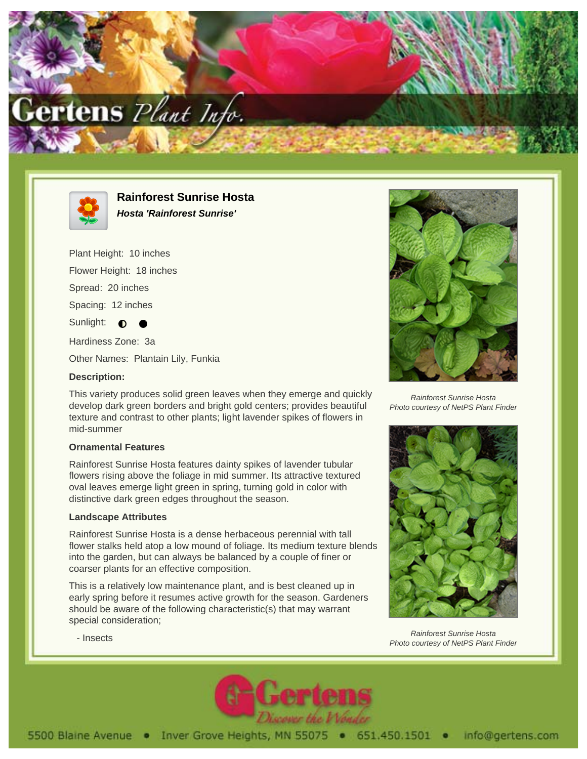



**Rainforest Sunrise Hosta Hosta 'Rainforest Sunrise'**

Plant Height: 10 inches Flower Height: 18 inches Spread: 20 inches Spacing: 12 inches Sunlight:  $\bigcirc$ Hardiness Zone: 3a

Other Names: Plantain Lily, Funkia

## **Description:**

This variety produces solid green leaves when they emerge and quickly develop dark green borders and bright gold centers; provides beautiful texture and contrast to other plants; light lavender spikes of flowers in mid-summer

## **Ornamental Features**

Rainforest Sunrise Hosta features dainty spikes of lavender tubular flowers rising above the foliage in mid summer. Its attractive textured oval leaves emerge light green in spring, turning gold in color with distinctive dark green edges throughout the season.

## **Landscape Attributes**

Rainforest Sunrise Hosta is a dense herbaceous perennial with tall flower stalks held atop a low mound of foliage. Its medium texture blends into the garden, but can always be balanced by a couple of finer or coarser plants for an effective composition.

This is a relatively low maintenance plant, and is best cleaned up in early spring before it resumes active growth for the season. Gardeners should be aware of the following characteristic(s) that may warrant special consideration;



Rainforest Sunrise Hosta Photo courtesy of NetPS Plant Finder



Rainforest Sunrise Hosta Photo courtesy of NetPS Plant Finder



- Insects